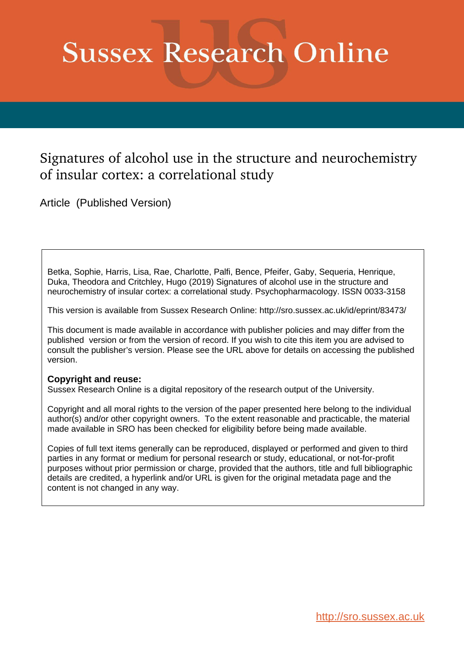# **Sussex Research Online**

# Signatures of alcohol use in the structure and neurochemistry of insular cortex: a correlational study

Article (Published Version)

Betka, Sophie, Harris, Lisa, Rae, Charlotte, Palfi, Bence, Pfeifer, Gaby, Sequeria, Henrique, Duka, Theodora and Critchley, Hugo (2019) Signatures of alcohol use in the structure and neurochemistry of insular cortex: a correlational study. Psychopharmacology. ISSN 0033-3158

This version is available from Sussex Research Online: http://sro.sussex.ac.uk/id/eprint/83473/

This document is made available in accordance with publisher policies and may differ from the published version or from the version of record. If you wish to cite this item you are advised to consult the publisher's version. Please see the URL above for details on accessing the published version.

# **Copyright and reuse:**

Sussex Research Online is a digital repository of the research output of the University.

Copyright and all moral rights to the version of the paper presented here belong to the individual author(s) and/or other copyright owners. To the extent reasonable and practicable, the material made available in SRO has been checked for eligibility before being made available.

Copies of full text items generally can be reproduced, displayed or performed and given to third parties in any format or medium for personal research or study, educational, or not-for-profit purposes without prior permission or charge, provided that the authors, title and full bibliographic details are credited, a hyperlink and/or URL is given for the original metadata page and the content is not changed in any way.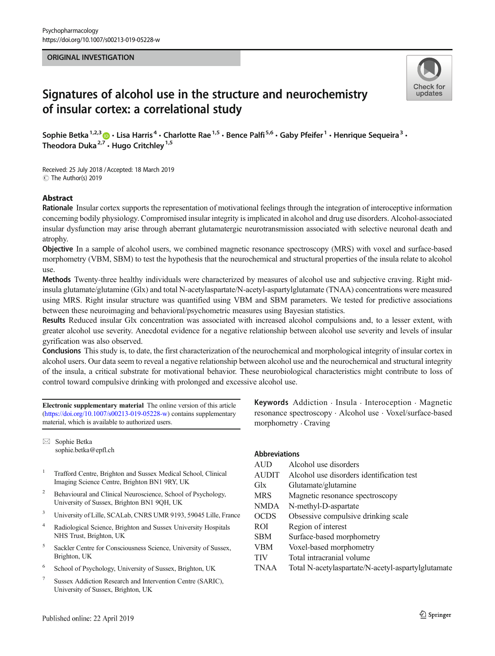#### ORIGINAL INVESTIGATION



# Signatures of alcohol use in the structure and neurochemistry of insular cortex: a correlational study

Sophie Betka<sup>1,2,3</sup>  $\cdot$  Lisa Harris<sup>4</sup>  $\cdot$  Charlotte Rae<sup>1,5</sup>  $\cdot$  Bence Palfi<sup>5,6</sup>  $\cdot$  Gaby Pfeifer<sup>1</sup>  $\cdot$  Henrique Sequeira<sup>3</sup>  $\cdot$ Theodora Duka<sup>2,7</sup>  $\cdot$  Hugo Critchley<sup>1,5</sup>

Received: 25 July 2018 /Accepted: 18 March 2019 C The Author(s) 2019

#### Abstract

Rationale Insular cortex supports the representation of motivational feelings through the integration of interoceptive information concerning bodily physiology. Compromised insular integrity is implicated in alcohol and drug use disorders. Alcohol-associated insular dysfunction may arise through aberrant glutamatergic neurotransmission associated with selective neuronal death and atrophy.

Objective In a sample of alcohol users, we combined magnetic resonance spectroscopy (MRS) with voxel and surface-based morphometry (VBM, SBM) to test the hypothesis that the neurochemical and structural properties of the insula relate to alcohol use.

Methods Twenty-three healthy individuals were characterized by measures of alcohol use and subjective craving. Right midinsula glutamate/glutamine (Glx) and total N-acetylaspartate/N-acetyl-aspartylglutamate (TNAA) concentrations were measured using MRS. Right insular structure was quantified using VBM and SBM parameters. We tested for predictive associations between these neuroimaging and behavioral/psychometric measures using Bayesian statistics.

Results Reduced insular Glx concentration was associated with increased alcohol compulsions and, to a lesser extent, with greater alcohol use severity. Anecdotal evidence for a negative relationship between alcohol use severity and levels of insular gyrification was also observed.

Conclusions This study is, to date, the first characterization of the neurochemical and morphological integrity of insular cortex in alcohol users. Our data seem to reveal a negative relationship between alcohol use and the neurochemical and structural integrity of the insula, a critical substrate for motivational behavior. These neurobiological characteristics might contribute to loss of control toward compulsive drinking with prolonged and excessive alcohol use.

Electronic supplementary material The online version of this article (<https://doi.org/10.1007/s00213-019-05228-w>) contains supplementary material, which is available to authorized users.

 $\boxtimes$  Sophie Betka [sophie.betka@epfl.ch](mailto:sophie.betka@epfl.ch)

- <sup>1</sup> Trafford Centre, Brighton and Sussex Medical School, Clinical Imaging Science Centre, Brighton BN1 9RY, UK
- <sup>2</sup> Behavioural and Clinical Neuroscience, School of Psychology, University of Sussex, Brighton BN1 9QH, UK
- <sup>3</sup> University of Lille, SCALab, CNRS UMR 9193, 59045 Lille, France
- <sup>4</sup> Radiological Science, Brighton and Sussex University Hospitals NHS Trust, Brighton, UK
- <sup>5</sup> Sackler Centre for Consciousness Science, University of Sussex, Brighton, UK
- <sup>6</sup> School of Psychology, University of Sussex, Brighton, UK
- <sup>7</sup> Sussex Addiction Research and Intervention Centre (SARIC), University of Sussex, Brighton, UK

Keywords Addiction . Insula . Interoception . Magnetic resonance spectroscopy . Alcohol use . Voxel/surface-based morphometry . Craving

|  | <b>Abbreviations</b> |
|--|----------------------|
|  |                      |

| <b>AUD</b>   | Alcohol use disorders                              |
|--------------|----------------------------------------------------|
| <b>AUDIT</b> | Alcohol use disorders identification test          |
| Glx          | Glutamate/glutamine                                |
| <b>MRS</b>   | Magnetic resonance spectroscopy                    |
| <b>NMDA</b>  | N-methyl-D-aspartate                               |
| <b>OCDS</b>  | Obsessive compulsive drinking scale                |
| <b>ROI</b>   | Region of interest                                 |
| <b>SBM</b>   | Surface-based morphometry                          |
| VBM          | Voxel-based morphometry                            |
| <b>TIV</b>   | Total intracranial volume                          |
| <b>TNAA</b>  | Total N-acetylaspartate/N-acetyl-aspartylglutamate |
|              |                                                    |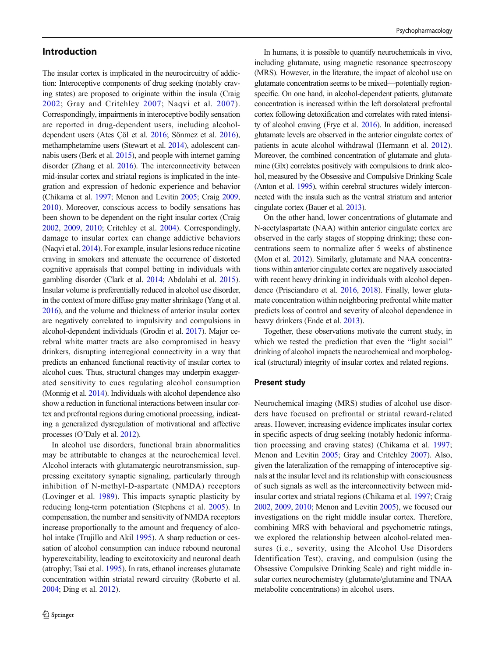#### Introduction

The insular cortex is implicated in the neurocircuitry of addiction: Interoceptive components of drug seeking (notably craving states) are proposed to originate within the insula (Craig [2002;](#page-11-0) Gray and Critchley [2007](#page-11-0); Naqvi et al. [2007\)](#page-12-0). Correspondingly, impairments in interoceptive bodily sensation are reported in drug-dependent users, including alcoholdependent users (Ates Çöl et al. [2016;](#page-11-0) Sönmez et al. [2016\)](#page-12-0), methamphetamine users (Stewart et al. [2014\)](#page-13-0), adolescent cannabis users (Berk et al. [2015\)](#page-11-0), and people with internet gaming disorder (Zhang et al. [2016\)](#page-13-0). The interconnectivity between mid-insular cortex and striatal regions is implicated in the integration and expression of hedonic experience and behavior (Chikama et al. [1997;](#page-11-0) Menon and Levitin [2005](#page-12-0); Craig [2009,](#page-11-0) [2010](#page-11-0)). Moreover, conscious access to bodily sensations has been shown to be dependent on the right insular cortex (Craig [2002,](#page-11-0) [2009,](#page-11-0) [2010;](#page-11-0) Critchley et al. [2004](#page-11-0)). Correspondingly, damage to insular cortex can change addictive behaviors (Naqvi et al. [2014\)](#page-12-0). For example, insular lesions reduce nicotine craving in smokers and attenuate the occurrence of distorted cognitive appraisals that compel betting in individuals with gambling disorder (Clark et al. [2014;](#page-11-0) Abdolahi et al. [2015\)](#page-11-0). Insular volume is preferentially reduced in alcohol use disorder, in the context of more diffuse gray matter shrinkage (Yang et al. [2016](#page-13-0)), and the volume and thickness of anterior insular cortex are negatively correlated to impulsivity and compulsions in alcohol-dependent individuals (Grodin et al. [2017\)](#page-11-0). Major cerebral white matter tracts are also compromised in heavy drinkers, disrupting interregional connectivity in a way that predicts an enhanced functional reactivity of insular cortex to alcohol cues. Thus, structural changes may underpin exaggerated sensitivity to cues regulating alcohol consumption (Monnig et al. [2014\)](#page-12-0). Individuals with alcohol dependence also show a reduction in functional interactions between insular cortex and prefrontal regions during emotional processing, indicating a generalized dysregulation of motivational and affective processes (O'Daly et al. [2012](#page-12-0)).

In alcohol use disorders, functional brain abnormalities may be attributable to changes at the neurochemical level. Alcohol interacts with glutamatergic neurotransmission, suppressing excitatory synaptic signaling, particularly through inhibition of N-methyl-D-aspartate (NMDA) receptors (Lovinger et al. [1989](#page-12-0)). This impacts synaptic plasticity by reducing long-term potentiation (Stephens et al. [2005](#page-12-0)). In compensation, the number and sensitivity of NMDA receptors increase proportionally to the amount and frequency of alco-hol intake (Trujillo and Akil [1995\)](#page-13-0). A sharp reduction or cessation of alcohol consumption can induce rebound neuronal hyperexcitability, leading to excitotoxicity and neuronal death (atrophy; Tsai et al. [1995\)](#page-13-0). In rats, ethanol increases glutamate concentration within striatal reward circuitry (Roberto et al. [2004;](#page-12-0) Ding et al. [2012](#page-11-0)).

In humans, it is possible to quantify neurochemicals in vivo, including glutamate, using magnetic resonance spectroscopy (MRS). However, in the literature, the impact of alcohol use on glutamate concentration seems to be mixed—potentially regionspecific. On one hand, in alcohol-dependent patients, glutamate concentration is increased within the left dorsolateral prefrontal cortex following detoxification and correlates with rated intensity of alcohol craving (Frye et al. [2016\)](#page-11-0). In addition, increased glutamate levels are observed in the anterior cingulate cortex of patients in acute alcohol withdrawal (Hermann et al. [2012\)](#page-12-0). Moreover, the combined concentration of glutamate and glutamine (Glx) correlates positively with compulsions to drink alcohol, measured by the Obsessive and Compulsive Drinking Scale (Anton et al. [1995](#page-11-0)), within cerebral structures widely interconnected with the insula such as the ventral striatum and anterior cingulate cortex (Bauer et al. [2013](#page-11-0)).

On the other hand, lower concentrations of glutamate and N-acetylaspartate (NAA) within anterior cingulate cortex are observed in the early stages of stopping drinking; these concentrations seem to normalize after 5 weeks of abstinence (Mon et al. [2012](#page-12-0)). Similarly, glutamate and NAA concentrations within anterior cingulate cortex are negatively associated with recent heavy drinking in individuals with alcohol dependence (Prisciandaro et al. [2016,](#page-12-0) [2018\)](#page-12-0). Finally, lower glutamate concentration within neighboring prefrontal white matter predicts loss of control and severity of alcohol dependence in heavy drinkers (Ende et al. [2013](#page-11-0)).

Together, these observations motivate the current study, in which we tested the prediction that even the "light social" drinking of alcohol impacts the neurochemical and morphological (structural) integrity of insular cortex and related regions.

#### Present study

Neurochemical imaging (MRS) studies of alcohol use disorders have focused on prefrontal or striatal reward-related areas. However, increasing evidence implicates insular cortex in specific aspects of drug seeking (notably hedonic information processing and craving states) (Chikama et al. [1997;](#page-11-0) Menon and Levitin [2005](#page-12-0); Gray and Critchley [2007\)](#page-11-0). Also, given the lateralization of the remapping of interoceptive signals at the insular level and its relationship with consciousness of such signals as well as the interconnectivity between midinsular cortex and striatal regions (Chikama et al. [1997;](#page-11-0) Craig [2002,](#page-11-0) [2009](#page-11-0), [2010;](#page-11-0) Menon and Levitin [2005\)](#page-12-0), we focused our investigations on the right middle insular cortex. Therefore, combining MRS with behavioral and psychometric ratings, we explored the relationship between alcohol-related measures (i.e., severity, using the Alcohol Use Disorders Identification Test), craving, and compulsion (using the Obsessive Compulsive Drinking Scale) and right middle insular cortex neurochemistry (glutamate/glutamine and TNAA metabolite concentrations) in alcohol users.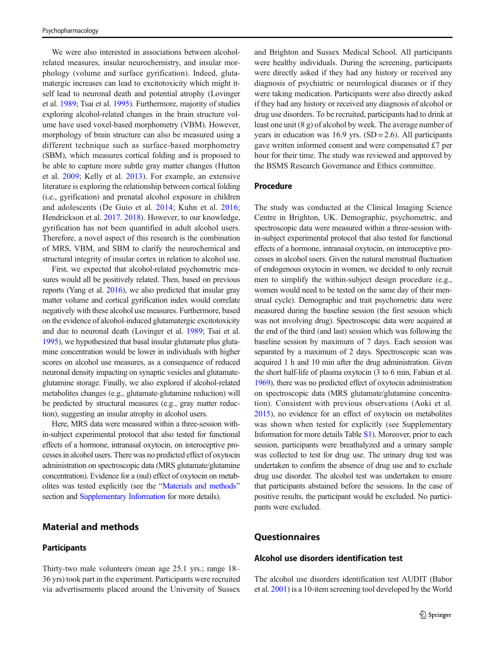We were also interested in associations between alcoholrelated measures, insular neurochemistry, and insular morphology (volume and surface gyrification). Indeed, glutamatergic increases can lead to excitotoxicity which might itself lead to neuronal death and potential atrophy (Lovinger et al. [1989;](#page-12-0) Tsai et al. [1995\)](#page-13-0). Furthermore, majority of studies exploring alcohol-related changes in the brain structure volume have used voxel-based morphometry (VBM). However, morphology of brain structure can also be measured using a different technique such as surface-based morphometry (SBM), which measures cortical folding and is proposed to be able to capture more subtle gray matter changes (Hutton et al. [2009](#page-12-0); Kelly et al. [2013\)](#page-12-0). For example, an extensive literature is exploring the relationship between cortical folding (i.e., gyrification) and prenatal alcohol exposure in children and adolescents (De Guio et al. [2014](#page-11-0); Kuhn et al. [2016](#page-12-0); Hendrickson et al. [2017.](#page-11-0) [2018](#page-12-0)). However, to our knowledge, gyrification has not been quantified in adult alcohol users. Therefore, a novel aspect of this research is the combination of MRS, VBM, and SBM to clarify the neurochemical and structural integrity of insular cortex in relation to alcohol use.

First, we expected that alcohol-related psychometric measures would all be positively related. Then, based on previous reports (Yang et al. [2016](#page-13-0)), we also predicted that insular gray matter volume and cortical gyrification index would correlate negatively with these alcohol use measures. Furthermore, based on the evidence of alcohol-induced glutamatergic excitotoxicity and due to neuronal death (Lovinger et al. [1989;](#page-12-0) Tsai et al. [1995](#page-13-0)), we hypothesized that basal insular glutamate plus glutamine concentration would be lower in individuals with higher scores on alcohol use measures, as a consequence of reduced neuronal density impacting on synaptic vesicles and glutamateglutamine storage. Finally, we also explored if alcohol-related metabolites changes (e.g., glutamate-glutamine reduction) will be predicted by structural measures (e.g., gray matter reduction), suggesting an insular atrophy in alcohol users.

Here, MRS data were measured within a three-session within-subject experimental protocol that also tested for functional effects of a hormone, intranasal oxytocin, on interoceptive processes in alcohol users. There was no predicted effect of oxytocin administration on spectroscopic data (MRS glutamate/glutamine concentration). Evidence for a (nul) effect of oxytocin on metabolites was tested explicitly (see the "Materials and methods" section and Supplementary Information for more details).

## Material and methods

#### **Participants**

Thirty-two male volunteers (mean age 25.1 yrs.; range 18– 36 yrs) took part in the experiment. Participants were recruited via advertisements placed around the University of Sussex and Brighton and Sussex Medical School. All participants were healthy individuals. During the screening, participants were directly asked if they had any history or received any diagnosis of psychiatric or neurological diseases or if they were taking medication. Participants were also directly asked if they had any history or received any diagnosis of alcohol or drug use disorders. To be recruited, participants had to drink at least one unit (8 g) of alcohol by week. The average number of years in education was  $16.9$  yrs. (SD = 2.6). All participants gave written informed consent and were compensated £7 per hour for their time. The study was reviewed and approved by the BSMS Research Governance and Ethics committee.

#### Procedure

The study was conducted at the Clinical Imaging Science Centre in Brighton, UK. Demographic, psychometric, and spectroscopic data were measured within a three-session within-subject experimental protocol that also tested for functional effects of a hormone, intranasal oxytocin, on interoceptive processes in alcohol users. Given the natural menstrual fluctuation of endogenous oxytocin in women, we decided to only recruit men to simplify the within-subject design procedure (e.g., women would need to be tested on the same day of their menstrual cycle). Demographic and trait psychometric data were measured during the baseline session (the first session which was not involving drug). Spectroscopic data were acquired at the end of the third (and last) session which was following the baseline session by maximum of 7 days. Each session was separated by a maximum of 2 days. Spectroscopic scan was acquired 1 h and 10 min after the drug administration. Given the short half-life of plasma oxytocin (3 to 6 min, Fabian et al. [1969](#page-11-0)), there was no predicted effect of oxytocin administration on spectroscopic data (MRS glutamate/glutamine concentration). Consistent with previous observations (Aoki et al. [2015](#page-11-0)), no evidence for an effect of oxytocin on metabolites was shown when tested for explicitly (see Supplementary Information for more details Table S1). Moreover, prior to each session, participants were breathalyzed and a urinary sample was collected to test for drug use. The urinary drug test was undertaken to confirm the absence of drug use and to exclude drug use disorder. The alcohol test was undertaken to ensure that participants abstained before the sessions. In the case of positive results, the participant would be excluded. No participants were excluded.

#### **Questionnaires**

#### Alcohol use disorders identification test

The alcohol use disorders identification test AUDIT (Babor et al. [2001\)](#page-11-0) is a 10-item screening tool developed by the World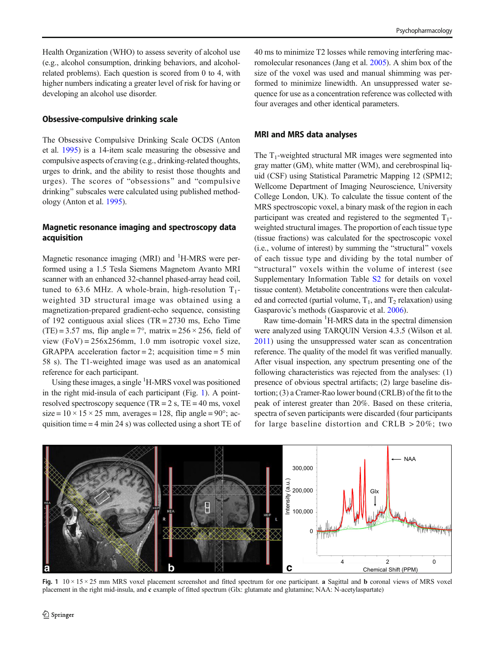Health Organization (WHO) to assess severity of alcohol use (e.g., alcohol consumption, drinking behaviors, and alcoholrelated problems). Each question is scored from 0 to 4, with higher numbers indicating a greater level of risk for having or developing an alcohol use disorder.

#### Obsessive-compulsive drinking scale

The Obsessive Compulsive Drinking Scale OCDS (Anton et al. [1995\)](#page-11-0) is a 14-item scale measuring the obsessive and compulsive aspects of craving (e.g., drinking-related thoughts, urges to drink, and the ability to resist those thoughts and urges). The scores of "obsessions" and "compulsive drinking" subscales were calculated using published methodology (Anton et al. [1995](#page-11-0)).

#### Magnetic resonance imaging and spectroscopy data acquisition

Magnetic resonance imaging (MRI) and <sup>1</sup>H-MRS were performed using a 1.5 Tesla Siemens Magnetom Avanto MRI scanner with an enhanced 32-channel phased-array head coil, tuned to 63.6 MHz. A whole-brain, high-resolution  $T_1$ weighted 3D structural image was obtained using a magnetization-prepared gradient-echo sequence, consisting of 192 contiguous axial slices (TR = 2730 ms, Echo Time (TE) = 3.57 ms, flip angle =  $7^\circ$ , matrix =  $256 \times 256$ , field of view  $(FoV) = 256x256mm$ , 1.0 mm isotropic voxel size, GRAPPA acceleration factor = 2; acquisition time = 5 min 58 s). The T1-weighted image was used as an anatomical reference for each participant.

Using these images, a single <sup>1</sup>H-MRS voxel was positioned in the right mid-insula of each participant (Fig. 1). A pointresolved spectroscopy sequence (TR =  $2 s$ , TE =  $40 ms$ , voxel size =  $10 \times 15 \times 25$  mm, averages = 128, flip angle =  $90^\circ$ ; acquisition time = 4 min 24 s) was collected using a short TE of

40 ms to minimize T2 losses while removing interfering macromolecular resonances (Jang et al. [2005\)](#page-12-0). A shim box of the size of the voxel was used and manual shimming was performed to minimize linewidth. An unsuppressed water sequence for use as a concentration reference was collected with four averages and other identical parameters.

#### MRI and MRS data analyses

The  $T_1$ -weighted structural MR images were segmented into gray matter (GM), white matter (WM), and cerebrospinal liquid (CSF) using Statistical Parametric Mapping 12 (SPM12; Wellcome Department of Imaging Neuroscience, University College London, UK). To calculate the tissue content of the MRS spectroscopic voxel, a binary mask of the region in each participant was created and registered to the segmented  $T_1$ weighted structural images. The proportion of each tissue type (tissue fractions) was calculated for the spectroscopic voxel  $(i.e., volume of interest) by summing the "structural" voxels$ of each tissue type and dividing by the total number of "structural" voxels within the volume of interest (see Supplementary Information Table S2 for details on voxel tissue content). Metabolite concentrations were then calculated and corrected (partial volume,  $T_1$ , and  $T_2$  relaxation) using Gasparovic's methods (Gasparovic et al. [2006\)](#page-11-0).

Raw time-domain <sup>1</sup>H-MRS data in the spectral dimension were analyzed using TARQUIN Version 4.3.5 (Wilson et al. [2011\)](#page-13-0) using the unsuppressed water scan as concentration reference. The quality of the model fit was verified manually. After visual inspection, any spectrum presenting one of the following characteristics was rejected from the analyses: (1) presence of obvious spectral artifacts; (2) large baseline distortion; (3) a Cramer-Rao lower bound (CRLB) of the fit to the peak of interest greater than 20%. Based on these criteria, spectra of seven participants were discarded (four participants for large baseline distortion and CRLB > 20%; two



Fig. 1  $10 \times 15 \times 25$  mm MRS voxel placement screenshot and fitted spectrum for one participant. a Sagittal and b coronal views of MRS voxel placement in the right mid-insula, and c example of fitted spectrum (Glx: glutamate and glutamine; NAA: N-acetylaspartate)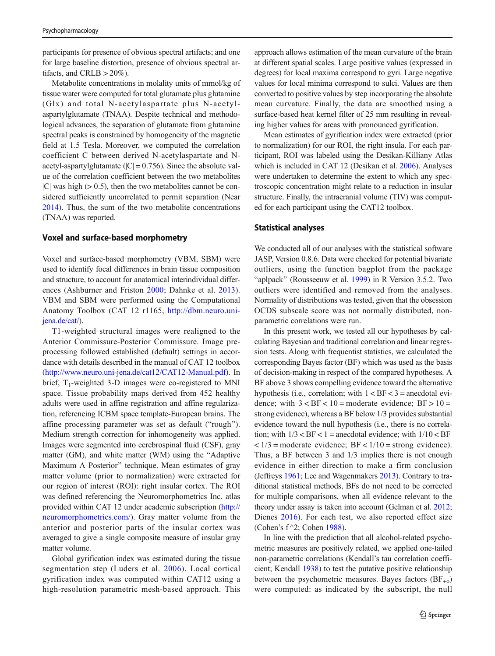participants for presence of obvious spectral artifacts; and one for large baseline distortion, presence of obvious spectral artifacts, and CRLB  $>$  20%).

Metabolite concentrations in molality units of mmol/kg of tissue water were computed for total glutamate plus glutamine (Glx) and total N-acetylaspartate plus N-acetylaspartylglutamate (TNAA). Despite technical and methodological advances, the separation of glutamate from glutamine spectral peaks is constrained by homogeneity of the magnetic field at 1.5 Tesla. Moreover, we computed the correlation coefficient C between derived N-acetylaspartate and Nacetyl-aspartylglutamate ( $|C| = 0.756$ ). Since the absolute value of the correlation coefficient between the two metabolites  $|C|$  was high ( $> 0.5$ ), then the two metabolites cannot be considered sufficiently uncorrelated to permit separation (Near [2014\)](#page-12-0). Thus, the sum of the two metabolite concentrations (TNAA) was reported.

#### Voxel and surface-based morphometry

Voxel and surface-based morphometry (VBM, SBM) were used to identify focal differences in brain tissue composition and structure, to account for anatomical interindividual differences (Ashburner and Friston [2000](#page-11-0); Dahnke et al. [2013](#page-11-0)). VBM and SBM were performed using the Computational Anatomy Toolbox (CAT 12 r1165, [http://dbm.neuro.uni](http://dbm.neuro.uni-jena.de/cat/)[jena.de/cat/\)](http://dbm.neuro.uni-jena.de/cat/).

T1-weighted structural images were realigned to the Anterior Commissure-Posterior Commissure. Image preprocessing followed established (default) settings in accordance with details described in the manual of CAT 12 toolbox [\(http://www.neuro.uni-jena.de/cat12/CAT12-Manual.pdf\)](http://www.neuro.uni-jena.de/cat12/CAT12-Manual.pdf). In brief,  $T_1$ -weighted 3-D images were co-registered to MNI space. Tissue probability maps derived from 452 healthy adults were used in affine registration and affine regularization, referencing ICBM space template-European brains. The affine processing parameter was set as default ("rough"). Medium strength correction for inhomogeneity was applied. Images were segmented into cerebrospinal fluid (CSF), gray matter (GM), and white matter (WM) using the "Adaptive Maximum A Posterior" technique. Mean estimates of gray matter volume (prior to normalization) were extracted for our region of interest (ROI): right insular cortex. The ROI was defined referencing the Neuromorphometrics Inc. atlas provided within CAT 12 under academic subscription [\(http://](http://neuromorphometrics.com/) [neuromorphometrics.com/](http://neuromorphometrics.com/)). Gray matter volume from the anterior and posterior parts of the insular cortex was averaged to give a single composite measure of insular gray matter volume.

Global gyrification index was estimated during the tissue segmentation step (Luders et al. [2006](#page-12-0)). Local cortical gyrification index was computed within CAT12 using a high-resolution parametric mesh-based approach. This approach allows estimation of the mean curvature of the brain at different spatial scales. Large positive values (expressed in degrees) for local maxima correspond to gyri. Large negative values for local minima correspond to sulci. Values are then converted to positive values by step incorporating the absolute mean curvature. Finally, the data are smoothed using a surface-based heat kernel filter of 25 mm resulting in revealing higher values for areas with pronounced gyrification.

Mean estimates of gyrification index were extracted (prior to normalization) for our ROI, the right insula. For each participant, ROI was labeled using the Desikan-Killiany Atlas which is included in CAT 12 (Desikan et al. [2006](#page-11-0)). Analyses were undertaken to determine the extent to which any spectroscopic concentration might relate to a reduction in insular structure. Finally, the intracranial volume (TIV) was computed for each participant using the CAT12 toolbox.

#### Statistical analyses

We conducted all of our analyses with the statistical software JASP, Version 0.8.6. Data were checked for potential bivariate outliers, using the function bagplot from the package "aplpack" (Rousseeuw et al. [1999](#page-12-0)) in R Version 3.5.2. Two outliers were identified and removed from the analyses. Normality of distributions was tested, given that the obsession OCDS subscale score was not normally distributed, nonparametric correlations were run.

In this present work, we tested all our hypotheses by calculating Bayesian and traditional correlation and linear regression tests. Along with frequentist statistics, we calculated the corresponding Bayes factor (BF) which was used as the basis of decision-making in respect of the compared hypotheses. A BF above 3 shows compelling evidence toward the alternative hypothesis (i.e., correlation; with  $1 < BF < 3$  = anecdotal evidence; with  $3 < BF < 10$  = moderate evidence;  $BF > 10$  = strong evidence), whereas a BF below 1/3 provides substantial evidence toward the null hypothesis (i.e., there is no correlation; with  $1/3 <$  BF  $<$  1 = anecdotal evidence; with  $1/10 <$  BF  $\langle 1/3 \rangle$  = moderate evidence; BF  $\langle 1/10 \rangle$  = strong evidence). Thus, a BF between 3 and 1/3 implies there is not enough evidence in either direction to make a firm conclusion (Jeffreys [1961](#page-12-0); Lee and Wagenmakers [2013](#page-12-0)). Contrary to traditional statistical methods, BFs do not need to be corrected for multiple comparisons, when all evidence relevant to the theory under assay is taken into account (Gelman et al. [2012;](#page-11-0) Dienes [2016](#page-11-0)). For each test, we also reported effect size (Cohen's f ^2; Cohen [1988](#page-11-0)).

In line with the prediction that all alcohol-related psychometric measures are positively related, we applied one-tailed non-parametric correlations (Kendall's tau correlation coefficient; Kendall [1938\)](#page-12-0) to test the putative positive relationship between the psychometric measures. Bayes factors  $(BF_{+o})$ were computed: as indicated by the subscript, the null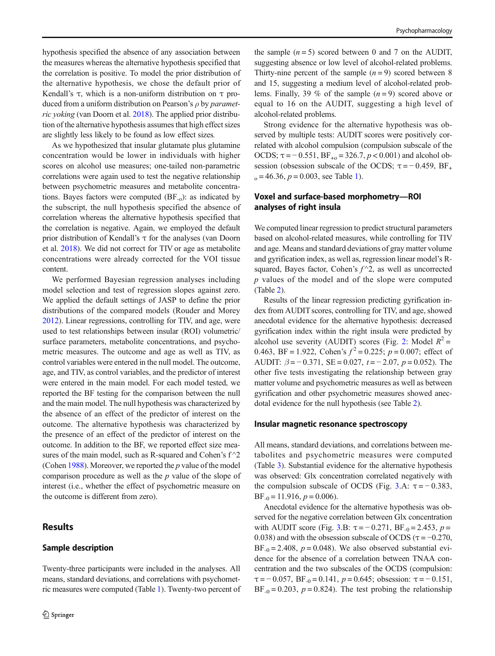hypothesis specified the absence of any association between the measures whereas the alternative hypothesis specified that the correlation is positive. To model the prior distribution of the alternative hypothesis, we chose the default prior of Kendall's τ, which is a non-uniform distribution on τ produced from a uniform distribution on Pearson's  $\rho$  by *paramet*ric yoking (van Doorn et al. [2018](#page-13-0)). The applied prior distribution of the alternative hypothesis assumes that high effect sizes are slightly less likely to be found as low effect sizes.

As we hypothesized that insular glutamate plus glutamine concentration would be lower in individuals with higher scores on alcohol use measures; one-tailed non-parametric correlations were again used to test the negative relationship between psychometric measures and metabolite concentrations. Bayes factors were computed  $(BF_{-o})$ : as indicated by the subscript, the null hypothesis specified the absence of correlation whereas the alternative hypothesis specified that the correlation is negative. Again, we employed the default prior distribution of Kendall's τ for the analyses (van Doorn et al. [2018\)](#page-13-0). We did not correct for TIV or age as metabolite concentrations were already corrected for the VOI tissue content.

We performed Bayesian regression analyses including model selection and test of regression slopes against zero. We applied the default settings of JASP to define the prior distributions of the compared models (Rouder and Morey [2012\)](#page-12-0). Linear regressions, controlling for TIV, and age, were used to test relationships between insular (ROI) volumetric/ surface parameters, metabolite concentrations, and psychometric measures. The outcome and age as well as TIV, as control variables were entered in the null model. The outcome, age, and TIV, as control variables, and the predictor of interest were entered in the main model. For each model tested, we reported the BF testing for the comparison between the null and the main model. The null hypothesis was characterized by the absence of an effect of the predictor of interest on the outcome. The alternative hypothesis was characterized by the presence of an effect of the predictor of interest on the outcome. In addition to the BF, we reported effect size measures of the main model, such as R-squared and Cohen's  $f^2$ (Cohen [1988](#page-11-0)). Moreover, we reported the  $p$  value of the model comparison procedure as well as the  $p$  value of the slope of interest (i.e., whether the effect of psychometric measure on the outcome is different from zero).

#### Results

#### Sample description

Twenty-three participants were included in the analyses. All means, standard deviations, and correlations with psychometric measures were computed (Table [1\)](#page-7-0). Twenty-two percent of

the sample  $(n=5)$  scored between 0 and 7 on the AUDIT. suggesting absence or low level of alcohol-related problems. Thirty-nine percent of the sample  $(n=9)$  scored between 8 and 15, suggesting a medium level of alcohol-related problems. Finally, 39 % of the sample  $(n = 9)$  scored above or equal to 16 on the AUDIT, suggesting a high level of alcohol-related problems.

Strong evidence for the alternative hypothesis was observed by multiple tests: AUDIT scores were positively correlated with alcohol compulsion (compulsion subscale of the OCDS;  $\tau = -0.551$ ,  $BF_{+0} = 326.7$ ,  $p < 0.001$ ) and alcohol obsession (obsession subscale of the OCDS;  $\tau = -0.459$ , BF<sub>+</sub>  $_0 = 46.36, p = 0.003$ , see Table [1\)](#page-7-0).

### Voxel and surface-based morphometry—ROI analyses of right insula

We computed linear regression to predict structural parameters based on alcohol-related measures, while controlling for TIV and age. Means and standard deviations of gray matter volume and gyrification index, as well as, regression linear model's Rsquared, Bayes factor, Cohen's  $f^{\wedge}2$ , as well as uncorrected p values of the model and of the slope were computed (Table [2](#page-7-0)).

Results of the linear regression predicting gyrification index from AUDIT scores, controlling for TIV, and age, showed anecdotal evidence for the alternative hypothesis: decreased gyrification index within the right insula were predicted by alcohol use severity (AUDIT) scores (Fig. [2:](#page-8-0) Model  $R^2$  = 0.463, BF = 1.922, Cohen's  $f^2 = 0.225$ ;  $p = 0.007$ ; effect of AUDIT:  $\beta = -0.371$ , SE = 0.027,  $t = -2.07$ ,  $p = 0.052$ ). The other five tests investigating the relationship between gray matter volume and psychometric measures as well as between gyrification and other psychometric measures showed anecdotal evidence for the null hypothesis (see Table [2](#page-7-0)).

#### Insular magnetic resonance spectroscopy

All means, standard deviations, and correlations between metabolites and psychometric measures were computed (Table [3\)](#page-8-0). Substantial evidence for the alternative hypothesis was observed: Glx concentration correlated negatively with the compulsion subscale of OCDS (Fig. [3.](#page-9-0)A:  $\tau = -0.383$ ,  $BF_{-0} = 11.916, p = 0.006$ .

Anecdotal evidence for the alternative hypothesis was observed for the negative correlation between Glx concentration with AUDIT score (Fig. [3](#page-9-0).B:  $\tau = -0.271$ , BF<sub>-0</sub> = 2.453, p = 0.038) and with the obsession subscale of OCDS ( $\tau = -0.270$ , BF<sub>-0</sub> = 2.408,  $p = 0.048$ ). We also observed substantial evidence for the absence of a correlation between TNAA concentration and the two subscales of the OCDS (compulsion:  $\tau = -0.057$ ,  $BF_{-0} = 0.141$ ,  $p = 0.645$ ; obsession:  $\tau = -0.151$ ,  $BF_{-0} = 0.203$ ,  $p = 0.824$ ). The test probing the relationship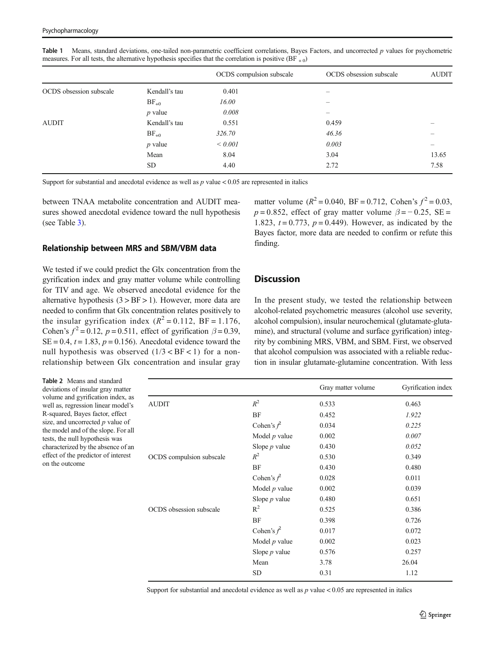|                         |               | OCDS compulsion subscale | OCDS obsession subscale | <b>AUDIT</b> |
|-------------------------|---------------|--------------------------|-------------------------|--------------|
| OCDS obsession subscale | Kendall's tau | 0.401                    | —                       |              |
|                         | $BF_{+0}$     | 16.00                    |                         |              |
|                         | $p$ value     | 0.008                    | —                       |              |
| <b>AUDIT</b>            | Kendall's tau | 0.551                    | 0.459                   |              |
|                         | $BF_{+0}$     | 326.70                   | 46.36                   |              |
|                         | $p$ value     | ${}< 0.001$              | 0.003                   |              |
|                         | Mean          | 8.04                     | 3.04                    | 13.65        |
|                         | <b>SD</b>     | 4.40                     | 2.72                    | 7.58         |
|                         |               |                          |                         |              |

<span id="page-7-0"></span>Table 1 Means, standard deviations, one-tailed non-parametric coefficient correlations, Bayes Factors, and uncorrected p values for psychometric measures. For all tests, the alternative hypothesis specifies that the correlation is positive (BF  $_{+0}$ )

Support for substantial and anecdotal evidence as well as  $p$  value  $< 0.05$  are represented in italics

between TNAA metabolite concentration and AUDIT measures showed anecdotal evidence toward the null hypothesis (see Table [3](#page-8-0)).

#### Relationship between MRS and SBM/VBM data

We tested if we could predict the Glx concentration from the gyrification index and gray matter volume while controlling for TIV and age. We observed anecdotal evidence for the alternative hypothesis  $(3 > BF > 1)$ . However, more data are needed to confirm that Glx concentration relates positively to the insular gyrification index  $(R^2 = 0.112, BF = 1.176,$ Cohen's  $f^2 = 0.12$ ,  $p = 0.511$ , effect of gyrification  $\beta = 0.39$ ,  $SE = 0.4$ ,  $t = 1.83$ ,  $p = 0.156$ ). Anecdotal evidence toward the null hypothesis was observed  $(1/3 < BF < 1)$  for a nonrelationship between Glx concentration and insular gray

# matter volume ( $R^2 = 0.040$ , BF = 0.712, Cohen's  $f^2 = 0.03$ .  $p = 0.852$ , effect of gray matter volume  $\beta = -0.25$ , SE = 1.823,  $t = 0.773$ ,  $p = 0.449$ ). However, as indicated by the Bayes factor, more data are needed to confirm or refute this finding.

#### **Discussion**

In the present study, we tested the relationship between alcohol-related psychometric measures (alcohol use severity, alcohol compulsion), insular neurochemical (glutamate-glutamine), and structural (volume and surface gyrification) integrity by combining MRS, VBM, and SBM. First, we observed that alcohol compulsion was associated with a reliable reduction in insular glutamate-glutamine concentration. With less

Table 2 Means and standard deviations of insular gray matter volume and gyrification index, as well as, regression linear model's R-squared, Bayes factor, effect size, and uncorrected  $p$  value of the model and of the slope. For all tests, the null hypothesis was characterized by the absence of an effect of the predictor of interest on the outcome

|                          |                   | Gray matter volume | Gyrification index |
|--------------------------|-------------------|--------------------|--------------------|
| <b>AUDIT</b>             | $R^2$             | 0.533              | 0.463              |
|                          | BF                | 0.452              | 1.922              |
|                          | Cohen's $\hat{f}$ | 0.034              | 0.225              |
|                          | Model $p$ value   | 0.002              | 0.007              |
|                          | Slope $p$ value   | 0.430              | 0.052              |
| OCDS compulsion subscale | $R^2$             | 0.530              | 0.349              |
|                          | BF                | 0.430              | 0.480              |
|                          | Cohen's $\hat{f}$ | 0.028              | 0.011              |
|                          | Model $p$ value   | 0.002              | 0.039              |
|                          | Slope $p$ value   | 0.480              | 0.651              |
| OCDS obsession subscale  | $R^2$             | 0.525              | 0.386              |
|                          | BF                | 0.398              | 0.726              |
|                          | Cohen's $f^2$     | 0.017              | 0.072              |
|                          | Model $p$ value   | 0.002              | 0.023              |
|                          | Slope $p$ value   | 0.576              | 0.257              |
|                          | Mean              | 3.78               | 26.04              |
|                          | SD                | 0.31               | 1.12               |

Support for substantial and anecdotal evidence as well as  $p$  value  $< 0.05$  are represented in italics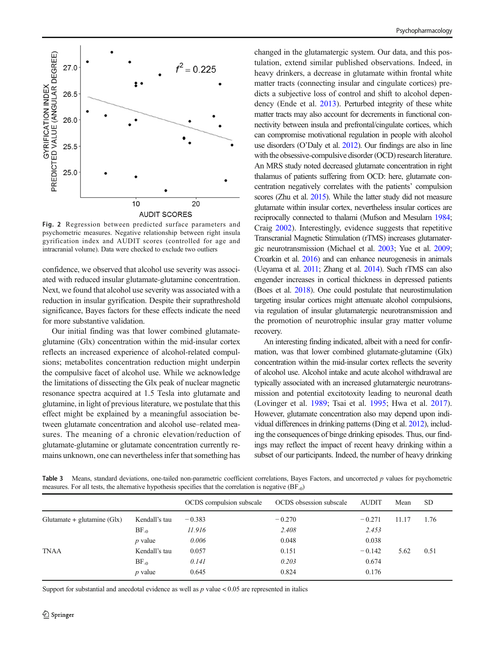<span id="page-8-0"></span>

Fig. 2 Regression between predicted surface parameters and psychometric measures. Negative relationship between right insula gyrification index and AUDIT scores (controlled for age and intracranial volume). Data were checked to exclude two outliers

confidence, we observed that alcohol use severity was associated with reduced insular glutamate-glutamine concentration. Next, we found that alcohol use severity was associated with a reduction in insular gyrification. Despite their suprathreshold significance, Bayes factors for these effects indicate the need for more substantive validation.

Our initial finding was that lower combined glutamateglutamine (Glx) concentration within the mid-insular cortex reflects an increased experience of alcohol-related compulsions; metabolites concentration reduction might underpin the compulsive facet of alcohol use. While we acknowledge the limitations of dissecting the Glx peak of nuclear magnetic resonance spectra acquired at 1.5 Tesla into glutamate and glutamine, in light of previous literature, we postulate that this effect might be explained by a meaningful association between glutamate concentration and alcohol use–related measures. The meaning of a chronic elevation/reduction of glutamate-glutamine or glutamate concentration currently remains unknown, one can nevertheless infer that something has

changed in the glutamatergic system. Our data, and this postulation, extend similar published observations. Indeed, in heavy drinkers, a decrease in glutamate within frontal white matter tracts (connecting insular and cingulate cortices) predicts a subjective loss of control and shift to alcohol dependency (Ende et al. [2013\)](#page-11-0). Perturbed integrity of these white matter tracts may also account for decrements in functional connectivity between insula and prefrontal/cingulate cortices, which can compromise motivational regulation in people with alcohol use disorders (O'Daly et al. [2012\)](#page-12-0). Our findings are also in line with the obsessive-compulsive disorder (OCD) research literature. An MRS study noted decreased glutamate concentration in right thalamus of patients suffering from OCD: here, glutamate concentration negatively correlates with the patients' compulsion scores (Zhu et al. [2015](#page-13-0)). While the latter study did not measure glutamate within insular cortex, nevertheless insular cortices are reciprocally connected to thalami (Mufson and Mesulam [1984;](#page-12-0) Craig [2002](#page-11-0)). Interestingly, evidence suggests that repetitive Transcranial Magnetic Stimulation (rTMS) increases glutamatergic neurotransmission (Michael et al. [2003](#page-12-0); Yue et al. [2009;](#page-13-0) Croarkin et al. [2016](#page-11-0)) and can enhance neurogenesis in animals (Ueyama et al. [2011;](#page-13-0) Zhang et al. [2014\)](#page-13-0). Such rTMS can also engender increases in cortical thickness in depressed patients (Boes et al. [2018\)](#page-11-0). One could postulate that neurostimulation targeting insular cortices might attenuate alcohol compulsions, via regulation of insular glutamatergic neurotransmission and the promotion of neurotrophic insular gray matter volume recovery.

An interesting finding indicated, albeit with a need for confirmation, was that lower combined glutamate-glutamine (Glx) concentration within the mid-insular cortex reflects the severity of alcohol use. Alcohol intake and acute alcohol withdrawal are typically associated with an increased glutamatergic neurotransmission and potential excitotoxity leading to neuronal death (Lovinger et al. [1989;](#page-12-0) Tsai et al. [1995;](#page-13-0) Hwa et al. [2017\)](#page-12-0). However, glutamate concentration also may depend upon individual differences in drinking patterns (Ding et al. [2012\)](#page-11-0), including the consequences of binge drinking episodes. Thus, our findings may reflect the impact of recent heavy drinking within a subset of our participants. Indeed, the number of heavy drinking

Table 3 Means, standard deviations, one-tailed non-parametric coefficient correlations, Bayes Factors, and uncorrected p values for psychometric measures. For all tests, the alternative hypothesis specifies that the correlation is negative (BF-0)

|                              |               | OCDS compulsion subscale | OCDS obsession subscale | <b>AUDIT</b> | Mean  | <b>SD</b> |
|------------------------------|---------------|--------------------------|-------------------------|--------------|-------|-----------|
| Glutamate + glutamine $(Gx)$ | Kendall's tau | $-0.383$                 | $-0.270$                | $-0.271$     | 11.17 | 1.76      |
|                              | $BF_{-0}$     | 11.916                   | 2.408                   | 2.453        |       |           |
|                              | $p$ value     | 0.006                    | 0.048                   | 0.038        |       |           |
| <b>TNAA</b>                  | Kendall's tau | 0.057                    | 0.151                   | $-0.142$     | 5.62  | 0.51      |
|                              | $BF_{-0}$     | 0.141                    | 0.203                   | 0.674        |       |           |
|                              | $p$ value     | 0.645                    | 0.824                   | 0.176        |       |           |

Support for substantial and anecdotal evidence as well as  $p$  value  $< 0.05$  are represented in italics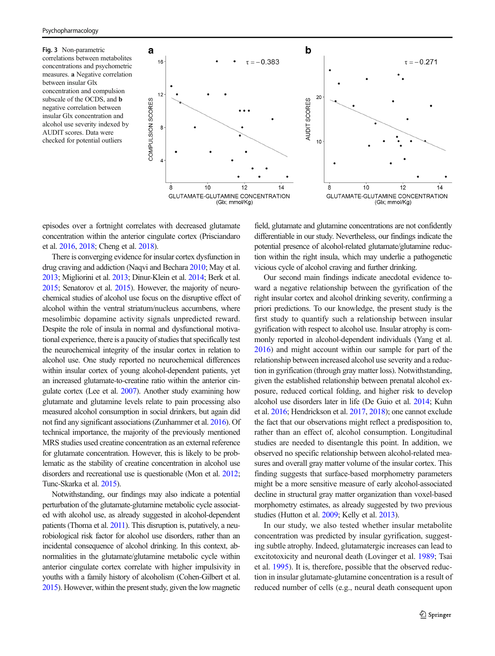<span id="page-9-0"></span>Fig. 3 Non-parametric correlations between metabolites concentrations and psychometric measures. a Negative correlation between insular Glx concentration and compulsion subscale of the OCDS, and b negative correlation between insular Glx concentration and alcohol use severity indexed by AUDIT scores. Data were checked for potential outliers



episodes over a fortnight correlates with decreased glutamate concentration within the anterior cingulate cortex (Prisciandaro et al. [2016](#page-12-0), [2018;](#page-12-0) Cheng et al. [2018\)](#page-11-0).

There is converging evidence for insular cortex dysfunction in drug craving and addiction (Naqvi and Bechara [2010](#page-12-0); May et al. [2013;](#page-12-0) Migliorini et al. [2013;](#page-12-0) Dinur-Klein et al. [2014](#page-11-0); Berk et al. [2015;](#page-11-0) Senatorov et al. [2015](#page-12-0)). However, the majority of neurochemical studies of alcohol use focus on the disruptive effect of alcohol within the ventral striatum/nucleus accumbens, where mesolimbic dopamine activity signals unpredicted reward. Despite the role of insula in normal and dysfunctional motivational experience, there is a paucity of studies that specifically test the neurochemical integrity of the insular cortex in relation to alcohol use. One study reported no neurochemical differences within insular cortex of young alcohol-dependent patients, yet an increased glutamate-to-creatine ratio within the anterior cingulate cortex (Lee et al. [2007](#page-12-0)). Another study examining how glutamate and glutamine levels relate to pain processing also measured alcohol consumption in social drinkers, but again did not find any significant associations (Zunhammer et al. [2016\)](#page-13-0). Of technical importance, the majority of the previously mentioned MRS studies used creatine concentration as an external reference for glutamate concentration. However, this is likely to be problematic as the stability of creatine concentration in alcohol use disorders and recreational use is questionable (Mon et al. [2012](#page-12-0); Tunc-Skarka et al. [2015](#page-13-0)).

Notwithstanding, our findings may also indicate a potential perturbation of the glutamate-glutamine metabolic cycle associated with alcohol use, as already suggested in alcohol-dependent patients (Thoma et al. [2011\)](#page-13-0). This disruption is, putatively, a neurobiological risk factor for alcohol use disorders, rather than an incidental consequence of alcohol drinking. In this context, abnormalities in the glutamate/glutamine metabolic cycle within anterior cingulate cortex correlate with higher impulsivity in youths with a family history of alcoholism (Cohen-Gilbert et al. [2015\)](#page-11-0). However, within the present study, given the low magnetic field, glutamate and glutamine concentrations are not confidently differentiable in our study. Nevertheless, our findings indicate the potential presence of alcohol-related glutamate/glutamine reduction within the right insula, which may underlie a pathogenetic vicious cycle of alcohol craving and further drinking.

Our second main findings indicate anecdotal evidence toward a negative relationship between the gyrification of the right insular cortex and alcohol drinking severity, confirming a priori predictions. To our knowledge, the present study is the first study to quantify such a relationship between insular gyrification with respect to alcohol use. Insular atrophy is commonly reported in alcohol-dependent individuals (Yang et al. [2016\)](#page-13-0) and might account within our sample for part of the relationship between increased alcohol use severity and a reduction in gyrification (through gray matter loss). Notwithstanding, given the established relationship between prenatal alcohol exposure, reduced cortical folding, and higher risk to develop alcohol use disorders later in life (De Guio et al. [2014](#page-11-0); Kuhn et al. [2016](#page-12-0); Hendrickson et al. [2017,](#page-11-0) [2018\)](#page-12-0); one cannot exclude the fact that our observations might reflect a predisposition to, rather than an effect of, alcohol consumption. Longitudinal studies are needed to disentangle this point. In addition, we observed no specific relationship between alcohol-related measures and overall gray matter volume of the insular cortex. This finding suggests that surface-based morphometry parameters might be a more sensitive measure of early alcohol-associated decline in structural gray matter organization than voxel-based morphometry estimates, as already suggested by two previous studies (Hutton et al. [2009;](#page-12-0) Kelly et al. [2013](#page-12-0)).

In our study, we also tested whether insular metabolite concentration was predicted by insular gyrification, suggesting subtle atrophy. Indeed, glutamatergic increases can lead to excitotoxicity and neuronal death (Lovinger et al. [1989;](#page-12-0) Tsai et al. [1995](#page-13-0)). It is, therefore, possible that the observed reduction in insular glutamate-glutamine concentration is a result of reduced number of cells (e.g., neural death consequent upon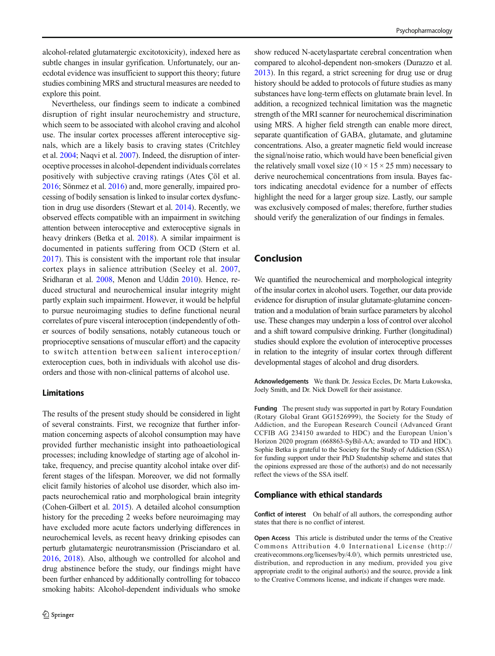alcohol-related glutamatergic excitotoxicity), indexed here as subtle changes in insular gyrification. Unfortunately, our anecdotal evidence was insufficient to support this theory; future studies combining MRS and structural measures are needed to explore this point.

Nevertheless, our findings seem to indicate a combined disruption of right insular neurochemistry and structure, which seem to be associated with alcohol craving and alcohol use. The insular cortex processes afferent interoceptive signals, which are a likely basis to craving states (Critchley et al. [2004;](#page-11-0) Naqvi et al. [2007](#page-12-0)). Indeed, the disruption of interoceptive processes in alcohol-dependent individuals correlates positively with subjective craving ratings (Ates Çöl et al. [2016;](#page-11-0) Sönmez et al. [2016\)](#page-12-0) and, more generally, impaired processing of bodily sensation is linked to insular cortex dysfunction in drug use disorders (Stewart et al. [2014](#page-13-0)). Recently, we observed effects compatible with an impairment in switching attention between interoceptive and exteroceptive signals in heavy drinkers (Betka et al. [2018\)](#page-11-0). A similar impairment is documented in patients suffering from OCD (Stern et al. [2017\)](#page-13-0). This is consistent with the important role that insular cortex plays in salience attribution (Seeley et al. [2007,](#page-12-0) Sridharan et al. [2008](#page-12-0), Menon and Uddin [2010](#page-12-0)). Hence, reduced structural and neurochemical insular integrity might partly explain such impairment. However, it would be helpful to pursue neuroimaging studies to define functional neural correlates of pure visceral interoception (independently of other sources of bodily sensations, notably cutaneous touch or proprioceptive sensations of muscular effort) and the capacity to switch attention between salient interoception/ exteroception cues, both in individuals with alcohol use disorders and those with non-clinical patterns of alcohol use.

#### Limitations

The results of the present study should be considered in light of several constraints. First, we recognize that further information concerning aspects of alcohol consumption may have provided further mechanistic insight into pathoaetiological processes; including knowledge of starting age of alcohol intake, frequency, and precise quantity alcohol intake over different stages of the lifespan. Moreover, we did not formally elicit family histories of alcohol use disorder, which also impacts neurochemical ratio and morphological brain integrity (Cohen-Gilbert et al. [2015\)](#page-11-0). A detailed alcohol consumption history for the preceding 2 weeks before neuroimaging may have excluded more acute factors underlying differences in neurochemical levels, as recent heavy drinking episodes can perturb glutamatergic neurotransmission (Prisciandaro et al. [2016,](#page-12-0) [2018\)](#page-12-0). Also, although we controlled for alcohol and drug abstinence before the study, our findings might have been further enhanced by additionally controlling for tobacco smoking habits: Alcohol-dependent individuals who smoke show reduced N-acetylaspartate cerebral concentration when compared to alcohol-dependent non-smokers (Durazzo et al. [2013\)](#page-11-0). In this regard, a strict screening for drug use or drug history should be added to protocols of future studies as many substances have long-term effects on glutamate brain level. In addition, a recognized technical limitation was the magnetic strength of the MRI scanner for neurochemical discrimination using MRS. A higher field strength can enable more direct, separate quantification of GABA, glutamate, and glutamine concentrations. Also, a greater magnetic field would increase the signal/noise ratio, which would have been beneficial given the relatively small voxel size ( $10 \times 15 \times 25$  mm) necessary to derive neurochemical concentrations from insula. Bayes factors indicating anecdotal evidence for a number of effects highlight the need for a larger group size. Lastly, our sample was exclusively composed of males; therefore, further studies should verify the generalization of our findings in females.

# Conclusion

We quantified the neurochemical and morphological integrity of the insular cortex in alcohol users. Together, our data provide evidence for disruption of insular glutamate-glutamine concentration and a modulation of brain surface parameters by alcohol use. These changes may underpin a loss of control over alcohol and a shift toward compulsive drinking. Further (longitudinal) studies should explore the evolution of interoceptive processes in relation to the integrity of insular cortex through different developmental stages of alcohol and drug disorders.

Acknowledgements We thank Dr. Jessica Eccles, Dr. Marta Łukowska, Joely Smith, and Dr. Nick Dowell for their assistance.

Funding The present study was supported in part by Rotary Foundation (Rotary Global Grant GG1526999), the Society for the Study of Addiction, and the European Research Council (Advanced Grant CCFIB AG 234150 awarded to HDC) and the European Union's Horizon 2020 program (668863-SyBil-AA; awarded to TD and HDC). Sophie Betka is grateful to the Society for the Study of Addiction (SSA) for funding support under their PhD Studentship scheme and states that the opinions expressed are those of the author(s) and do not necessarily reflect the views of the SSA itself.

#### Compliance with ethical standards

Conflict of interest On behalf of all authors, the corresponding author states that there is no conflict of interest.

Open Access This article is distributed under the terms of the Creative Commons Attribution 4.0 International License (http:// creativecommons.org/licenses/by/4.0/), which permits unrestricted use, distribution, and reproduction in any medium, provided you give appropriate credit to the original author(s) and the source, provide a link to the Creative Commons license, and indicate if changes were made.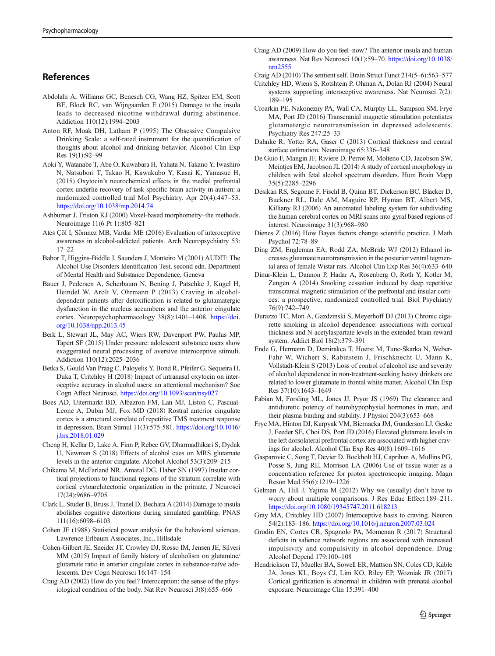# <span id="page-11-0"></span>References

- Abdolahi A, Williams GC, Benesch CG, Wang HZ, Spitzer EM, Scott BE, Block RC, van Wijngaarden E (2015) Damage to the insula leads to decreased nicotine withdrawal during abstinence. Addiction 110(12):1994–2003
- Anton RF, Moak DH, Latham P (1995) The Obsessive Compulsive Drinking Scale: a self-rated instrument for the quantification of thoughts about alcohol and drinking behavior. Alcohol Clin Exp Res 19(1):92–99
- Aoki Y, Watanabe T, Abe O, Kuwabara H, Yahata N, Takano Y, Iwashiro N, Natsubori T, Takao H, Kawakubo Y, Kasai K, Yamasue H, (2015) Oxytocin's neurochemical effects in the medial prefrontal cortex underlie recovery of task-specific brain activity in autism: a randomized controlled trial Mol Psychiatry. Apr 20(4):447–53. <https://doi.org/10.1038/mp.2014.74>
- Ashburner J, Friston KJ (2000) Voxel-based morphometry–the methods. Neuroimage 11(6 Pt 1):805–821
- Ates Çöl I, Sömnez MB, Vardar ME (2016) Evaluation of interoceptive awareness in alcohol-addicted patients. Arch Neuropsychiatry 53: 17–22
- Babor T, Higgins-Biddle J, Saunders J, Monteiro M (2001) AUDIT: The Alcohol Use Disorders Identification Test, second edn. Department of Mental Health and Substance Dependence, Geneva
- Bauer J, Pedersen A, Scherbaum N, Bening J, Patschke J, Kugel H, Heindel W, Arolt V, Ohrmann P (2013) Craving in alcoholdependent patients after detoxification is related to glutamatergic dysfunction in the nucleus accumbens and the anterior cingulate cortex. Neuropsychopharmacology 38(8):1401–1408. [https://doi.](https://doi.org/10.1038/npp.2013.45) [org/10.1038/npp.2013.45](https://doi.org/10.1038/npp.2013.45)
- Berk L, Stewart JL, May AC, Wiers RW, Davenport PW, Paulus MP, Tapert SF (2015) Under pressure: adolescent substance users show exaggerated neural processing of aversive interoceptive stimuli. Addiction 110(12):2025–2036
- Betka S, Gould Van Praag C, Paloyelis Y, Bond R, Pfeifer G, Sequeira H, Duka T, Critchley H (2018) Impact of intranasal oxytocin on interoceptive accuracy in alcohol users: an attentional mechanism? Soc Cogn Affect Neurosci. <https://doi.org/10.1093/scan/nsy027>
- Boes AD, Uitermarkt BD, Albazron FM, Lan MJ, Liston C, Pascual-Leone A, Dubin MJ, Fox MD (2018) Rostral anterior cingulate cortex is a structural correlate of repetitive TMS treatment response in depression. Brain Stimul 11(3):575-581. [https://doi.org/10.1016/](https://doi.org/10.1016/j.brs.2018.01.029) [j.brs.2018.01.029](https://doi.org/10.1016/j.brs.2018.01.029)
- Cheng H, Kellar D, Lake A, Finn P, Rebec GV, Dharmadhikari S, Dydak U, Newman S (2018) Effects of alcohol cues on MRS glutamate levels in the anterior cingulate. Alcohol Alcohol 53(3):209–215
- Chikama M, McFarland NR, Amaral DG, Haber SN (1997) Insular cortical projections to functional regions of the striatum correlate with cortical cytoarchitectonic organization in the primate. J Neurosci 17(24):9686–9705
- Clark L, Studer B, Bruss J, Tranel D, Bechara A (2014) Damage to insula abolishes cognitive distortions during simulated gambling. PNAS 111(16):6098–6103
- Cohen JE (1988) Statistical power analysis for the behavioral sciences. Lawrence Erlbaum Associates, Inc., Hillsdale
- Cohen-Gilbert JE, Sneider JT, Crowley DJ, Rosso IM, Jensen JE, Silveri MM (2015) Impact of family history of alcoholism on glutamine/ glutamate ratio in anterior cingulate cortex in substance-naïve adolescents. Dev Cogn Neurosci 16:147–154
- Craig AD (2002) How do you feel? Interoception: the sense of the physiological condition of the body. Nat Rev Neurosci 3(8):655–666

Craig AD (2009) How do you feel–now? The anterior insula and human awareness. Nat Rev Neurosci 10(1):59–70. [https://doi.org/10.1038/](https://doi.org/10.1038/nrn2555) [nrn2555](https://doi.org/10.1038/nrn2555)

Craig AD (2010) The sentient self. Brain Struct Funct 214(5–6):563–577

- Critchley HD, Wiens S, Rotshtein P, Ohman A, Dolan RJ (2004) Neural systems supporting interoceptive awareness. Nat Neurosci 7(2): 189–195
- Croarkin PE, Nakonezny PA, Wall CA, Murphy LL, Sampson SM, Frye MA, Port JD (2016) Transcranial magnetic stimulation potentiates glutamatergic neurotransmission in depressed adolescents. Psychiatry Res 247:25–33
- Dahnke R, Yotter RA, Gaser C (2013) Cortical thickness and central surface estimation. Neuroimage 65:336–348
- De Guio F, Mangin JF, Riviere D, Perrot M, Molteno CD, Jacobson SW, Meintjes EM, Jacobson JL (2014) A study of cortical morphology in children with fetal alcohol spectrum disorders. Hum Brain Mapp 35(5):2285–2296
- Desikan RS, Segonne F, Fischl B, Quinn BT, Dickerson BC, Blacker D, Buckner RL, Dale AM, Maguire RP, Hyman BT, Albert MS, Killiany RJ (2006) An automated labeling system for subdividing the human cerebral cortex on MRI scans into gyral based regions of interest. Neuroimage 31(3):968–980
- Dienes Z (2016) How Bayes factors change scientific practice. J Math Psychol 72:78–89
- Ding ZM, Engleman EA, Rodd ZA, McBride WJ (2012) Ethanol increases glutamate neurotransmission in the posterior ventral tegmental area of female Wistar rats. Alcohol Clin Exp Res 36(4):633–640
- Dinur-Klein L, Dannon P, Hadar A, Rosenberg O, Roth Y, Kotler M, Zangen A (2014) Smoking cessation induced by deep repetitive transcranial magnetic stimulation of the prefrontal and insular cortices: a prospective, randomized controlled trial. Biol Psychiatry 76(9):742–749
- Durazzo TC, Mon A, Gazdzinski S, Meyerhoff DJ (2013) Chronic cigarette smoking in alcohol dependence: associations with cortical thickness and N-acetylaspartate levels in the extended brain reward system. Addict Biol 18(2):379–391
- Ende G, Hermann D, Demirakca T, Hoerst M, Tunc-Skarka N, Weber-Fahr W, Wichert S, Rabinstein J, Frischknecht U, Mann K, Vollstadt-Klein S (2013) Loss of control of alcohol use and severity of alcohol dependence in non-treatment-seeking heavy drinkers are related to lower glutamate in frontal white matter. Alcohol Clin Exp Res 37(10):1643–1649
- Fabian M, Forsling ML, Jones JJ, Pryor JS (1969) The clearance and antidiuretic potency of neurohypophysial hormones in man, and their plasma binding and stability. J Physiol 204(3):653–668
- Frye MA, Hinton DJ, Karpyak VM, Biernacka JM, Gunderson LJ, Geske J, Feeder SE, Choi DS, Port JD (2016) Elevated glutamate levels in the left dorsolateral prefrontal cortex are associated with higher cravings for alcohol. Alcohol Clin Exp Res 40(8):1609–1616
- Gasparovic C, Song T, Devier D, Bockholt HJ, Caprihan A, Mullins PG, Posse S, Jung RE, Morrison LA (2006) Use of tissue water as a concentration reference for proton spectroscopic imaging. Magn Reson Med 55(6):1219–1226
- Gelman A, Hill J, Yajima M (2012) Why we (usually) don't have to worry about multiple comparisons. J Res Educ Effect:189–211. <https://doi.org/10.1080/19345747.2011.618213>
- Gray MA, Critchley HD (2007) Interoceptive basis to craving. Neuron 54(2):183–186. [https://doi.org/10.1016/j.neuron.2007.03.024](https://doi.org/10.1038/mp.2014.74)
- Grodin EN, Cortes CR, Spagnolo PA, Momenan R (2017) Structural deficits in salience network regions are associated with increased impulsivity and compulsivity in alcohol dependence. Drug Alcohol Depend 179:100–108
- Hendrickson TJ, Mueller BA, Sowell ER, Mattson SN, Coles CD, Kable JA, Jones KL, Boys CJ, Lim KO, Riley EP, Wozniak JR (2017) Cortical gyrification is abnormal in children with prenatal alcohol exposure. Neuroimage Clin 15:391–400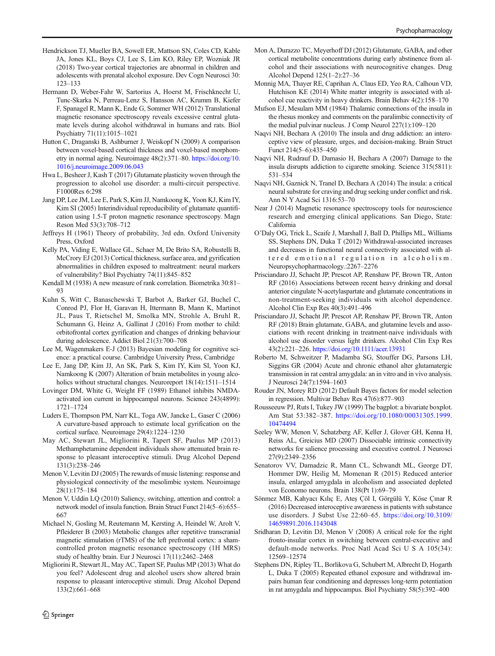- <span id="page-12-0"></span>Hendrickson TJ, Mueller BA, Sowell ER, Mattson SN, Coles CD, Kable JA, Jones KL, Boys CJ, Lee S, Lim KO, Riley EP, Wozniak JR (2018) Two-year cortical trajectories are abnormal in children and adolescents with prenatal alcohol exposure. Dev Cogn Neurosci 30: 123–133
- Hermann D, Weber-Fahr W, Sartorius A, Hoerst M, Frischknecht U, Tunc-Skarka N, Perreau-Lenz S, Hansson AC, Krumm B, Kiefer F, Spanagel R, Mann K, Ende G, Sommer WH (2012) Translational magnetic resonance spectroscopy reveals excessive central glutamate levels during alcohol withdrawal in humans and rats. Biol Psychiatry 71(11):1015–1021
- Hutton C, Draganski B, Ashburner J, Weiskopf N (2009) A comparison between voxel-based cortical thickness and voxel-based morphometry in normal aging. Neuroimage 48(2):371–80. [https://doi.org/10.](https://doi.org/10.1016/j.neuroimage.2009.06.043) [1016/j.neuroimage.2009.06.043](https://doi.org/10.1016/j.neuroimage.2009.06.043)
- Hwa L, Besheer J, Kash T (2017) Glutamate plasticity woven through the progression to alcohol use disorder: a multi-circuit perspective. F1000Res 6:298
- Jang DP, Lee JM, Lee E, Park S, Kim JJ, Namkoong K, Yoon KJ, Kim IY, Kim SI (2005) Interindividual reproducibility of glutamate quantification using 1.5-T proton magnetic resonance spectroscopy. Magn Reson Med 53(3):708–712
- Jeffreys H (1961) Theory of probability, 3rd edn. Oxford University Press, Oxford
- Kelly PA, Viding E, Wallace GL, Schaer M, De Brito SA, Robustelli B, McCrory EJ (2013) Cortical thickness, surface area, and gyrification abnormalities in children exposed to maltreatment: neural markers of vulnerability? Biol Psychiatry 74(11):845–852
- Kendall M (1938) A new measure of rank correlation. Biometrika 30:81– 93
- Kuhn S, Witt C, Banaschewski T, Barbot A, Barker GJ, Buchel C, Conrod PJ, Flor H, Garavan H, Ittermann B, Mann K, Martinot JL, Paus T, Rietschel M, Smolka MN, Strohle A, Bruhl R, Schumann G, Heinz A, Gallinat J (2016) From mother to child: orbitofrontal cortex gyrification and changes of drinking behaviour during adolescence. Addict Biol 21(3):700–708
- Lee M, Wagenmakers E-J (2013) Bayesian modeling for cognitive science: a practical course. Cambridge University Press, Cambridge
- Lee E, Jang DP, Kim JJ, An SK, Park S, Kim IY, Kim SI, Yoon KJ, Namkoong K (2007) Alteration of brain metabolites in young alcoholics without structural changes. Neuroreport  $18(14):1511-1514$
- Lovinger DM, White G, Weight FF (1989) Ethanol inhibits NMDAactivated ion current in hippocampal neurons. Science 243(4899): 1721–1724
- Luders E, Thompson PM, Narr KL, Toga AW, Jancke L, Gaser C (2006) A curvature-based approach to estimate local gyrification on the cortical surface. Neuroimage 29(4):1224–1230
- May AC, Stewart JL, Migliorini R, Tapert SF, Paulus MP (2013) Methamphetamine dependent individuals show attenuated brain response to pleasant interoceptive stimuli. Drug Alcohol Depend 131(3):238–246
- Menon V, Levitin DJ (2005) The rewards of music listening: response and physiological connectivity of the mesolimbic system. Neuroimage 28(1):175–184
- Menon V, Uddin LQ (2010) Saliency, switching, attention and control: a network model of insula function. Brain Struct Funct 214(5–6):655– 667
- Michael N, Gosling M, Reutemann M, Kersting A, Heindel W, Arolt V, Pfleiderer B (2003) Metabolic changes after repetitive transcranial magnetic stimulation (rTMS) of the left prefrontal cortex: a shamcontrolled proton magnetic resonance spectroscopy (1H MRS) study of healthy brain. Eur J Neurosci 17(11):2462–2468
- Migliorini R, Stewart JL, May AC, Tapert SF, Paulus MP (2013) What do you feel? Adolescent drug and alcohol users show altered brain response to pleasant interoceptive stimuli. Drug Alcohol Depend 133(2):661–668
- Mon A, Durazzo TC, Meyerhoff DJ (2012) Glutamate, GABA, and other cortical metabolite concentrations during early abstinence from alcohol and their associations with neurocognitive changes. Drug Alcohol Depend 125(1–2):27–36
- Monnig MA, Thayer RE, Caprihan A, Claus ED, Yeo RA, Calhoun VD, Hutchison KE (2014) White matter integrity is associated with alcohol cue reactivity in heavy drinkers. Brain Behav 4(2):158–170
- Mufson EJ, Mesulam MM (1984) Thalamic connections of the insula in the rhesus monkey and comments on the paralimbic connectivity of the medial pulvinar nucleus. J Comp Neurol 227(1):109–120
- Naqvi NH, Bechara A (2010) The insula and drug addiction: an interoceptive view of pleasure, urges, and decision-making. Brain Struct Funct 214(5–6):435–450
- Naqvi NH, Rudrauf D, Damasio H, Bechara A (2007) Damage to the insula disrupts addiction to cigarette smoking. Science 315(5811): 531–534
- Naqvi NH, Gaznick N, Tranel D, Bechara A (2014) The insula: a critical neural substrate for craving and drug seeking under conflict and risk. Ann N Y Acad Sci 1316:53–70
- Near J (2014) Magnetic resonance spectroscopy tools for neuroscience research and emerging clinical applications. San Diego, State: California
- O'Daly OG, Trick L, Scaife J, Marshall J, Ball D, Phillips ML, Williams SS, Stephens DN, Duka T (2012) Withdrawal-associated increases and decreases in functional neural connectivity associated with altered emotional regulation in alcoholism. Neuropsychopharmacology.:2267–2276
- Prisciandaro JJ, Schacht JP, Prescot AP, Renshaw PF, Brown TR, Anton RF (2016) Associations between recent heavy drinking and dorsal anterior cingulate N-acetylaspartate and glutamate concentrations in non-treatment-seeking individuals with alcohol dependence. Alcohol Clin Exp Res 40(3):491–496
- Prisciandaro JJ, Schacht JP, Prescot AP, Renshaw PF, Brown TR, Anton RF (2018) Brain glutamate, GABA, and glutamine levels and associations with recent drinking in treatment-naive individuals with alcohol use disorder versus light drinkers. Alcohol Clin Exp Res 43(2):221–226. <https://doi.org/10.1111/acer.13931>
- Roberto M, Schweitzer P, Madamba SG, Stouffer DG, Parsons LH, Siggins GR (2004) Acute and chronic ethanol alter glutamatergic transmission in rat central amygdala: an in vitro and in vivo analysis. J Neurosci 24(7):1594–1603
- Rouder JN, Morey RD (2012) Default Bayes factors for model selection in regression. Multivar Behav Res 47(6):877–903
- Rousseeuw PJ, Ruts I, Tukey JW (1999) The bagplot: a bivariate boxplot. Am Stat 53:382–387. [https://doi.org/10.1080/00031305.1999.](https://doi.org/10.1080/00031305.1999.10474494) [10474494](https://doi.org/10.1080/00031305.1999.10474494)
- Seeley WW, Menon V, Schatzberg AF, Keller J, Glover GH, Kenna H, Reiss AL, Greicius MD (2007) Dissociable intrinsic connectivity networks for salience processing and executive control. J Neurosci 27(9):2349–2356
- Senatorov VV, Damadzic R, Mann CL, Schwandt ML, George DT, Hommer DW, Heilig M, Momenan R (2015) Reduced anterior insula, enlarged amygdala in alcoholism and associated depleted von Economo neurons. Brain 138(Pt 1):69–79
- Sönmez MB, Kahyacı Kılıç E, Ateş Çöl I, Görgülü Y, Köse Çınar R (2016) Decreased interoceptive awareness in patients with substance use disorders. J Subst Use 22:60–65. [https://doi.org/10.3109/](https://doi.org/10.3109/14659891.2016.1143048) [14659891.2016.1143048](https://doi.org/10.3109/14659891.2016.1143048)
- Sridharan D, Levitin DJ, Menon V (2008) A critical role for the right fronto-insular cortex in switching between central-executive and default-mode networks. Proc Natl Acad Sci U S A 105(34): 12569–12574
- Stephens DN, Ripley TL, Borlikova G, Schubert M, Albrecht D, Hogarth L, Duka T (2005) Repeated ethanol exposure and withdrawal impairs human fear conditioning and depresses long-term potentiation in rat amygdala and hippocampus. Biol Psychiatry 58(5):392–400